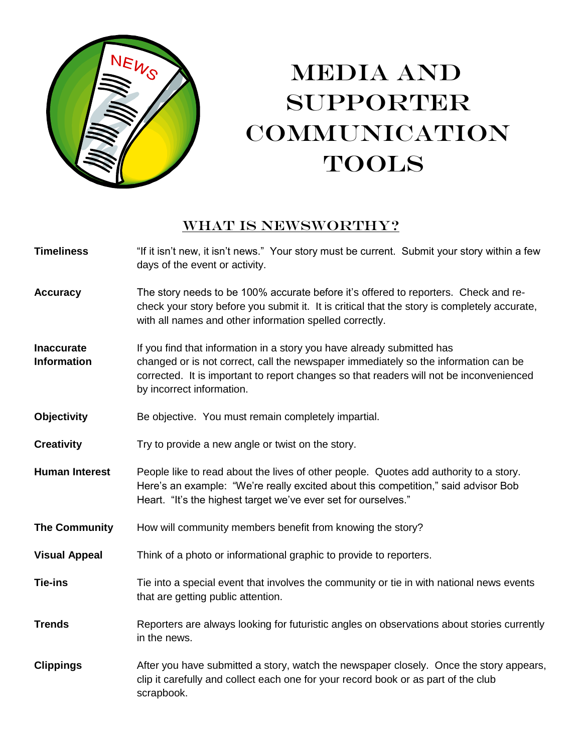

# MEDIA AND SUPPORTER **COMMUNICATION** TOOLS

### WHAT IS NEWSWORTHY?

| <b>Timeliness</b>                       | "If it isn't new, it isn't news." Your story must be current. Submit your story within a few<br>days of the event or activity.                                                                                                                                                        |
|-----------------------------------------|---------------------------------------------------------------------------------------------------------------------------------------------------------------------------------------------------------------------------------------------------------------------------------------|
| <b>Accuracy</b>                         | The story needs to be 100% accurate before it's offered to reporters. Check and re-<br>check your story before you submit it. It is critical that the story is completely accurate,<br>with all names and other information spelled correctly.                                        |
| <b>Inaccurate</b><br><b>Information</b> | If you find that information in a story you have already submitted has<br>changed or is not correct, call the newspaper immediately so the information can be<br>corrected. It is important to report changes so that readers will not be inconvenienced<br>by incorrect information. |
| <b>Objectivity</b>                      | Be objective. You must remain completely impartial.                                                                                                                                                                                                                                   |
| <b>Creativity</b>                       | Try to provide a new angle or twist on the story.                                                                                                                                                                                                                                     |
| <b>Human Interest</b>                   | People like to read about the lives of other people. Quotes add authority to a story.<br>Here's an example: "We're really excited about this competition," said advisor Bob<br>Heart. "It's the highest target we've ever set for ourselves."                                         |
| <b>The Community</b>                    | How will community members benefit from knowing the story?                                                                                                                                                                                                                            |
| <b>Visual Appeal</b>                    | Think of a photo or informational graphic to provide to reporters.                                                                                                                                                                                                                    |
| <b>Tie-ins</b>                          | Tie into a special event that involves the community or tie in with national news events<br>that are getting public attention.                                                                                                                                                        |
| <b>Trends</b>                           | Reporters are always looking for futuristic angles on observations about stories currently<br>in the news.                                                                                                                                                                            |
| <b>Clippings</b>                        | After you have submitted a story, watch the newspaper closely. Once the story appears,<br>clip it carefully and collect each one for your record book or as part of the club<br>scrapbook.                                                                                            |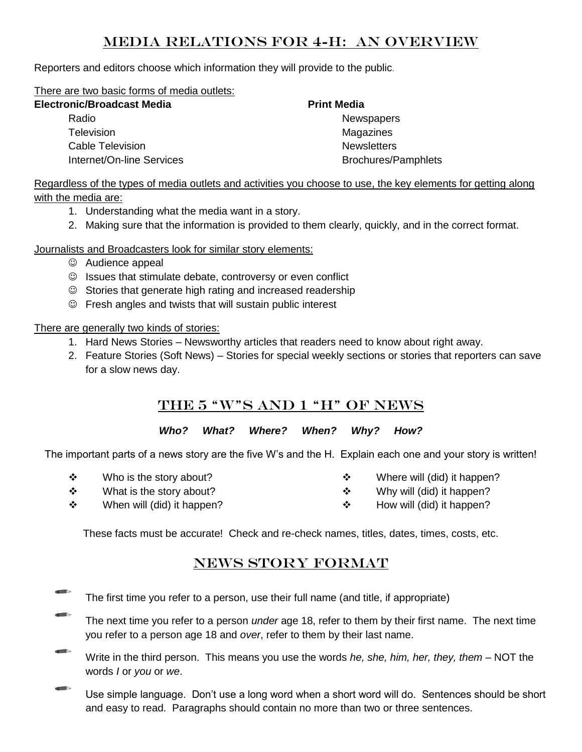## Media relations for 4-H: an overview

Reporters and editors choose which information they will provide to the public.

There are two basic forms of media outlets:

| <b>Electronic/Broadcast Media</b> | <b>Print Media</b>         |  |
|-----------------------------------|----------------------------|--|
| Radio                             | <b>Newspapers</b>          |  |
| <b>Television</b>                 | Magazines                  |  |
| Cable Television                  | <b>Newsletters</b>         |  |
| Internet/On-line Services         | <b>Brochures/Pamphlets</b> |  |

Regardless of the types of media outlets and activities you choose to use, the key elements for getting along with the media are:

- 1. Understanding what the media want in a story.
- 2. Making sure that the information is provided to them clearly, quickly, and in the correct format.

Journalists and Broadcasters look for similar story elements:

- Audience appeal
- $\odot$  Issues that stimulate debate, controversy or even conflict
- $\odot$  Stories that generate high rating and increased readership
- Fresh angles and twists that will sustain public interest

There are generally two kinds of stories:

- 1. Hard News Stories Newsworthy articles that readers need to know about right away.
- 2. Feature Stories (Soft News) Stories for special weekly sections or stories that reporters can save for a slow news day.

# THE 5 "W"S AND 1 "H" OF NEWS

#### *Who? What? Where? When? Why? How?*

The important parts of a news story are the five W's and the H. Explain each one and your story is written!

 $\div$  Who is the story about?  $\div$  What is the story about?

- ❖ Where will (did) it happen?
- ❖ Why will (did) it happen?
- ❖ When will (did) it happen?  $\div$  How will (did) it happen?

These facts must be accurate! Check and re-check names, titles, dates, times, costs, etc.

# NEWS STORY FORMAT

- The first time you refer to a person, use their full name (and title, if appropriate)
- The next time you refer to a person *under* age 18, refer to them by their first name. The next time you refer to a person age 18 and *over*, refer to them by their last name.
- Write in the third person. This means you use the words *he, she, him, her, they, them* NOT the words *I* or *you* or *we*.
- $\blacksquare$ Use simple language. Don't use a long word when a short word will do. Sentences should be short and easy to read. Paragraphs should contain no more than two or three sentences.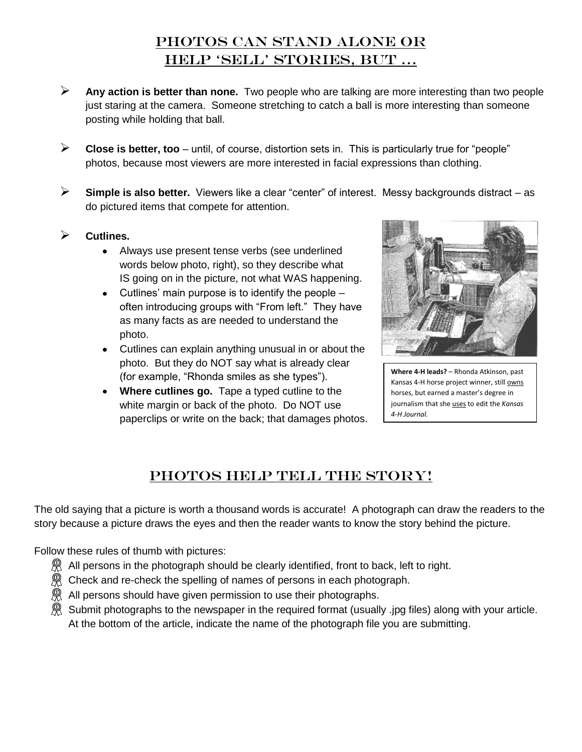# PHOTOS CAN STAND ALONE OR help "sell" stories, but …

- **Any action is better than none.** Two people who are talking are more interesting than two people just staring at the camera. Someone stretching to catch a ball is more interesting than someone posting while holding that ball.
- **Close is better, too** until, of course, distortion sets in. This is particularly true for "people" photos, because most viewers are more interested in facial expressions than clothing.
- **Simple is also better.** Viewers like a clear "center" of interest. Messy backgrounds distract as do pictured items that compete for attention.
- **Cutlines.**
	- Always use present tense verbs (see underlined words below photo, right), so they describe what IS going on in the picture, not what WAS happening.
	- $\bullet$  Cutlines' main purpose is to identify the people  $$ often introducing groups with "From left." They have as many facts as are needed to understand the photo.
	- Cutlines can explain anything unusual in or about the photo. But they do NOT say what is already clear (for example, "Rhonda smiles as she types").
	- **Where cutlines go.** Tape a typed cutline to the white margin or back of the photo. Do NOT use paperclips or write on the back; that damages photos.



**Where 4-H leads?** – Rhonda Atkinson, past Kansas 4-H horse project winner, still owns horses, but earned a master's degree in journalism that she uses to edit the *Kansas 4-H Journal.*

# Photos HELP TELL THE STORY!

The old saying that a picture is worth a thousand words is accurate! A photograph can draw the readers to the story because a picture draws the eyes and then the reader wants to know the story behind the picture.

Follow these rules of thumb with pictures:

- $\mathbb{R}$  All persons in the photograph should be clearly identified, front to back, left to right.
- $\Re$  Check and re-check the spelling of names of persons in each photograph.
- $\Re$  All persons should have given permission to use their photographs.
- $\Re$  Submit photographs to the newspaper in the required format (usually .jpg files) along with your article. At the bottom of the article, indicate the name of the photograph file you are submitting.